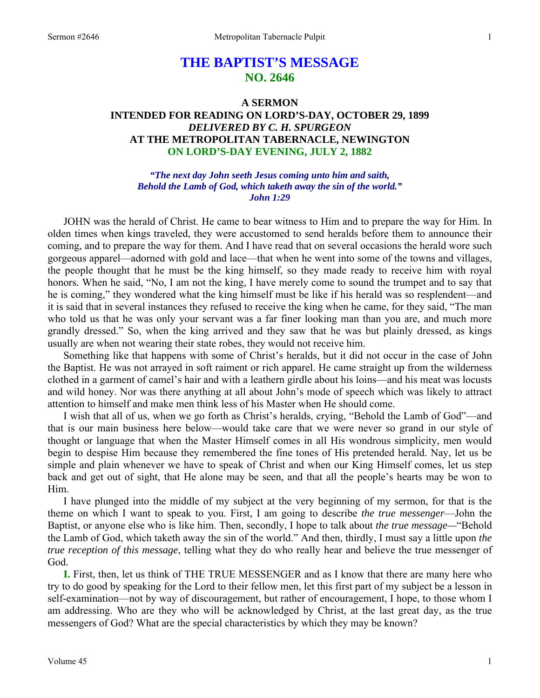# **THE BAPTIST'S MESSAGE NO. 2646**

## **A SERMON INTENDED FOR READING ON LORD'S-DAY, OCTOBER 29, 1899**  *DELIVERED BY C. H. SPURGEON*  **AT THE METROPOLITAN TABERNACLE, NEWINGTON ON LORD'S-DAY EVENING, JULY 2, 1882**

*"The next day John seeth Jesus coming unto him and saith, Behold the Lamb of God, which taketh away the sin of the world." John 1:29* 

JOHN was the herald of Christ. He came to bear witness to Him and to prepare the way for Him. In olden times when kings traveled, they were accustomed to send heralds before them to announce their coming, and to prepare the way for them. And I have read that on several occasions the herald wore such gorgeous apparel—adorned with gold and lace—that when he went into some of the towns and villages, the people thought that he must be the king himself, so they made ready to receive him with royal honors. When he said, "No, I am not the king, I have merely come to sound the trumpet and to say that he is coming," they wondered what the king himself must be like if his herald was so resplendent—and it is said that in several instances they refused to receive the king when he came, for they said, "The man who told us that he was only your servant was a far finer looking man than you are, and much more grandly dressed." So, when the king arrived and they saw that he was but plainly dressed, as kings usually are when not wearing their state robes, they would not receive him.

 Something like that happens with some of Christ's heralds, but it did not occur in the case of John the Baptist. He was not arrayed in soft raiment or rich apparel. He came straight up from the wilderness clothed in a garment of camel's hair and with a leathern girdle about his loins—and his meat was locusts and wild honey. Nor was there anything at all about John's mode of speech which was likely to attract attention to himself and make men think less of his Master when He should come.

 I wish that all of us, when we go forth as Christ's heralds, crying, "Behold the Lamb of God"—and that is our main business here below—would take care that we were never so grand in our style of thought or language that when the Master Himself comes in all His wondrous simplicity, men would begin to despise Him because they remembered the fine tones of His pretended herald. Nay, let us be simple and plain whenever we have to speak of Christ and when our King Himself comes, let us step back and get out of sight, that He alone may be seen, and that all the people's hearts may be won to Him.

 I have plunged into the middle of my subject at the very beginning of my sermon, for that is the theme on which I want to speak to you. First, I am going to describe *the true messenger*—John the Baptist, or anyone else who is like him. Then, secondly, I hope to talk about *the true message—*"Behold the Lamb of God, which taketh away the sin of the world." And then, thirdly, I must say a little upon *the true reception of this message*, telling what they do who really hear and believe the true messenger of God.

**I.** First, then, let us think of THE TRUE MESSENGER and as I know that there are many here who try to do good by speaking for the Lord to their fellow men, let this first part of my subject be a lesson in self-examination—not by way of discouragement, but rather of encouragement, I hope, to those whom I am addressing. Who are they who will be acknowledged by Christ, at the last great day, as the true messengers of God? What are the special characteristics by which they may be known?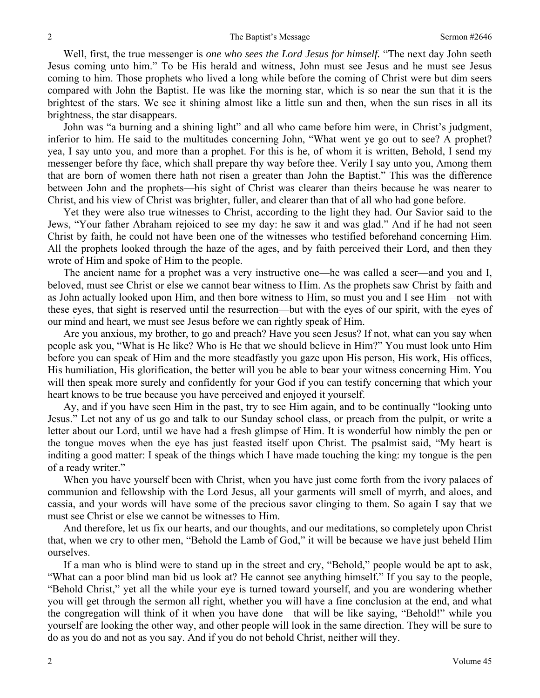Well, first, the true messenger is *one who sees the Lord Jesus for himself.* "The next day John seeth Jesus coming unto him." To be His herald and witness, John must see Jesus and he must see Jesus coming to him. Those prophets who lived a long while before the coming of Christ were but dim seers compared with John the Baptist. He was like the morning star, which is so near the sun that it is the brightest of the stars. We see it shining almost like a little sun and then, when the sun rises in all its brightness, the star disappears.

 John was "a burning and a shining light" and all who came before him were, in Christ's judgment, inferior to him. He said to the multitudes concerning John, "What went ye go out to see? A prophet? yea, I say unto you, and more than a prophet. For this is he, of whom it is written, Behold, I send my messenger before thy face, which shall prepare thy way before thee. Verily I say unto you, Among them that are born of women there hath not risen a greater than John the Baptist." This was the difference between John and the prophets—his sight of Christ was clearer than theirs because he was nearer to Christ, and his view of Christ was brighter, fuller, and clearer than that of all who had gone before.

 Yet they were also true witnesses to Christ, according to the light they had. Our Savior said to the Jews, "Your father Abraham rejoiced to see my day: he saw it and was glad." And if he had not seen Christ by faith, he could not have been one of the witnesses who testified beforehand concerning Him. All the prophets looked through the haze of the ages, and by faith perceived their Lord, and then they wrote of Him and spoke of Him to the people.

 The ancient name for a prophet was a very instructive one—he was called a seer—and you and I, beloved, must see Christ or else we cannot bear witness to Him. As the prophets saw Christ by faith and as John actually looked upon Him, and then bore witness to Him, so must you and I see Him—not with these eyes, that sight is reserved until the resurrection—but with the eyes of our spirit, with the eyes of our mind and heart, we must see Jesus before we can rightly speak of Him.

 Are you anxious, my brother, to go and preach? Have you seen Jesus? If not, what can you say when people ask you, "What is He like? Who is He that we should believe in Him?" You must look unto Him before you can speak of Him and the more steadfastly you gaze upon His person, His work, His offices, His humiliation, His glorification, the better will you be able to bear your witness concerning Him. You will then speak more surely and confidently for your God if you can testify concerning that which your heart knows to be true because you have perceived and enjoyed it yourself.

 Ay, and if you have seen Him in the past, try to see Him again, and to be continually "looking unto Jesus." Let not any of us go and talk to our Sunday school class, or preach from the pulpit, or write a letter about our Lord, until we have had a fresh glimpse of Him. It is wonderful how nimbly the pen or the tongue moves when the eye has just feasted itself upon Christ. The psalmist said, "My heart is inditing a good matter: I speak of the things which I have made touching the king: my tongue is the pen of a ready writer."

 When you have yourself been with Christ, when you have just come forth from the ivory palaces of communion and fellowship with the Lord Jesus, all your garments will smell of myrrh, and aloes, and cassia, and your words will have some of the precious savor clinging to them. So again I say that we must see Christ or else we cannot be witnesses to Him.

 And therefore, let us fix our hearts, and our thoughts, and our meditations, so completely upon Christ that, when we cry to other men, "Behold the Lamb of God," it will be because we have just beheld Him ourselves.

 If a man who is blind were to stand up in the street and cry, "Behold," people would be apt to ask, "What can a poor blind man bid us look at? He cannot see anything himself." If you say to the people, "Behold Christ," yet all the while your eye is turned toward yourself, and you are wondering whether you will get through the sermon all right, whether you will have a fine conclusion at the end, and what the congregation will think of it when you have done—that will be like saying, "Behold!" while you yourself are looking the other way, and other people will look in the same direction. They will be sure to do as you do and not as you say. And if you do not behold Christ, neither will they.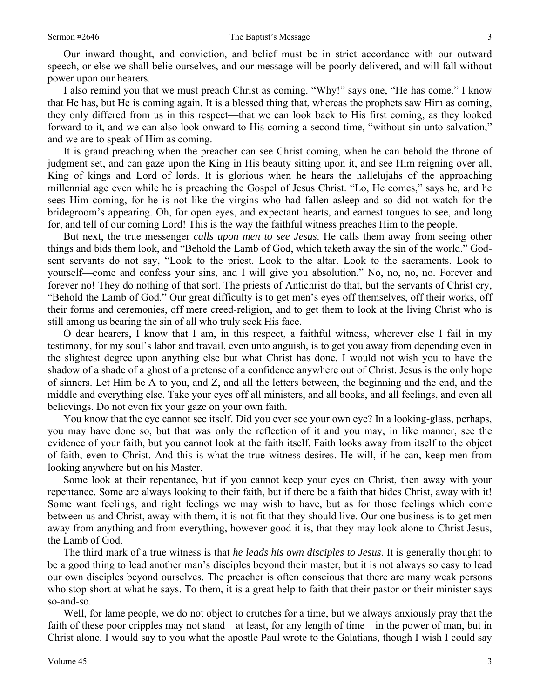Our inward thought, and conviction, and belief must be in strict accordance with our outward speech, or else we shall belie ourselves, and our message will be poorly delivered, and will fall without power upon our hearers.

 I also remind you that we must preach Christ as coming. "Why!" says one, "He has come." I know that He has, but He is coming again. It is a blessed thing that, whereas the prophets saw Him as coming, they only differed from us in this respect—that we can look back to His first coming, as they looked forward to it, and we can also look onward to His coming a second time, "without sin unto salvation," and we are to speak of Him as coming.

 It is grand preaching when the preacher can see Christ coming, when he can behold the throne of judgment set, and can gaze upon the King in His beauty sitting upon it, and see Him reigning over all, King of kings and Lord of lords. It is glorious when he hears the hallelujahs of the approaching millennial age even while he is preaching the Gospel of Jesus Christ. "Lo, He comes," says he, and he sees Him coming, for he is not like the virgins who had fallen asleep and so did not watch for the bridegroom's appearing. Oh, for open eyes, and expectant hearts, and earnest tongues to see, and long for, and tell of our coming Lord! This is the way the faithful witness preaches Him to the people.

 But next, the true messenger *calls upon men to see Jesus*. He calls them away from seeing other things and bids them look, and "Behold the Lamb of God, which taketh away the sin of the world." Godsent servants do not say, "Look to the priest. Look to the altar. Look to the sacraments. Look to yourself—come and confess your sins, and I will give you absolution." No, no, no, no. Forever and forever no! They do nothing of that sort. The priests of Antichrist do that, but the servants of Christ cry, "Behold the Lamb of God." Our great difficulty is to get men's eyes off themselves, off their works, off their forms and ceremonies, off mere creed-religion, and to get them to look at the living Christ who is still among us bearing the sin of all who truly seek His face.

 O dear hearers, I know that I am, in this respect, a faithful witness, wherever else I fail in my testimony, for my soul's labor and travail, even unto anguish, is to get you away from depending even in the slightest degree upon anything else but what Christ has done. I would not wish you to have the shadow of a shade of a ghost of a pretense of a confidence anywhere out of Christ. Jesus is the only hope of sinners. Let Him be A to you, and Z, and all the letters between, the beginning and the end, and the middle and everything else. Take your eyes off all ministers, and all books, and all feelings, and even all believings. Do not even fix your gaze on your own faith.

 You know that the eye cannot see itself. Did you ever see your own eye? In a looking-glass, perhaps, you may have done so, but that was only the reflection of it and you may, in like manner, see the evidence of your faith, but you cannot look at the faith itself. Faith looks away from itself to the object of faith, even to Christ. And this is what the true witness desires. He will, if he can, keep men from looking anywhere but on his Master.

 Some look at their repentance, but if you cannot keep your eyes on Christ, then away with your repentance. Some are always looking to their faith, but if there be a faith that hides Christ, away with it! Some want feelings, and right feelings we may wish to have, but as for those feelings which come between us and Christ, away with them, it is not fit that they should live. Our one business is to get men away from anything and from everything, however good it is, that they may look alone to Christ Jesus, the Lamb of God.

 The third mark of a true witness is that *he leads his own disciples to Jesus*. It is generally thought to be a good thing to lead another man's disciples beyond their master, but it is not always so easy to lead our own disciples beyond ourselves. The preacher is often conscious that there are many weak persons who stop short at what he says. To them, it is a great help to faith that their pastor or their minister says so-and-so.

 Well, for lame people, we do not object to crutches for a time, but we always anxiously pray that the faith of these poor cripples may not stand—at least, for any length of time—in the power of man, but in Christ alone. I would say to you what the apostle Paul wrote to the Galatians, though I wish I could say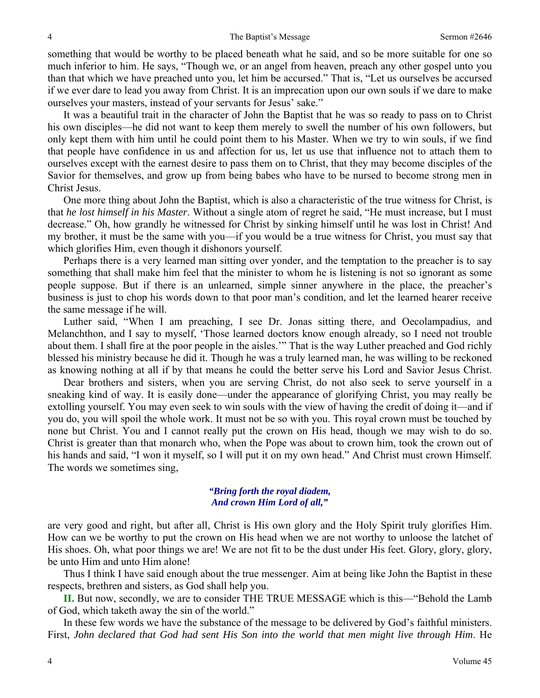something that would be worthy to be placed beneath what he said, and so be more suitable for one so much inferior to him. He says, "Though we, or an angel from heaven, preach any other gospel unto you than that which we have preached unto you, let him be accursed." That is, "Let us ourselves be accursed if we ever dare to lead you away from Christ. It is an imprecation upon our own souls if we dare to make ourselves your masters, instead of your servants for Jesus' sake."

 It was a beautiful trait in the character of John the Baptist that he was so ready to pass on to Christ his own disciples—he did not want to keep them merely to swell the number of his own followers, but only kept them with him until he could point them to his Master. When we try to win souls, if we find that people have confidence in us and affection for us, let us use that influence not to attach them to ourselves except with the earnest desire to pass them on to Christ, that they may become disciples of the Savior for themselves, and grow up from being babes who have to be nursed to become strong men in Christ Jesus.

 One more thing about John the Baptist, which is also a characteristic of the true witness for Christ, is that *he lost himself in his Master*. Without a single atom of regret he said, "He must increase, but I must decrease." Oh, how grandly he witnessed for Christ by sinking himself until he was lost in Christ! And my brother, it must be the same with you—if you would be a true witness for Christ, you must say that which glorifies Him, even though it dishonors yourself.

 Perhaps there is a very learned man sitting over yonder, and the temptation to the preacher is to say something that shall make him feel that the minister to whom he is listening is not so ignorant as some people suppose. But if there is an unlearned, simple sinner anywhere in the place, the preacher's business is just to chop his words down to that poor man's condition, and let the learned hearer receive the same message if he will.

 Luther said, "When I am preaching, I see Dr. Jonas sitting there, and Oecolampadius, and Melanchthon, and I say to myself, 'Those learned doctors know enough already, so I need not trouble about them. I shall fire at the poor people in the aisles.'" That is the way Luther preached and God richly blessed his ministry because he did it. Though he was a truly learned man, he was willing to be reckoned as knowing nothing at all if by that means he could the better serve his Lord and Savior Jesus Christ.

 Dear brothers and sisters, when you are serving Christ, do not also seek to serve yourself in a sneaking kind of way. It is easily done—under the appearance of glorifying Christ, you may really be extolling yourself. You may even seek to win souls with the view of having the credit of doing it—and if you do, you will spoil the whole work. It must not be so with you. This royal crown must be touched by none but Christ. You and I cannot really put the crown on His head, though we may wish to do so. Christ is greater than that monarch who, when the Pope was about to crown him, took the crown out of his hands and said, "I won it myself, so I will put it on my own head." And Christ must crown Himself. The words we sometimes sing,

#### *"Bring forth the royal diadem, And crown Him Lord of all,"*

are very good and right, but after all, Christ is His own glory and the Holy Spirit truly glorifies Him. How can we be worthy to put the crown on His head when we are not worthy to unloose the latchet of His shoes. Oh, what poor things we are! We are not fit to be the dust under His feet. Glory, glory, glory, be unto Him and unto Him alone!

 Thus I think I have said enough about the true messenger. Aim at being like John the Baptist in these respects, brethren and sisters, as God shall help you.

**II.** But now, secondly, we are to consider THE TRUE MESSAGE which is this—"Behold the Lamb of God, which taketh away the sin of the world."

 In these few words we have the substance of the message to be delivered by God's faithful ministers. First, *John declared that God had sent His Son into the world that men might live through Him*. He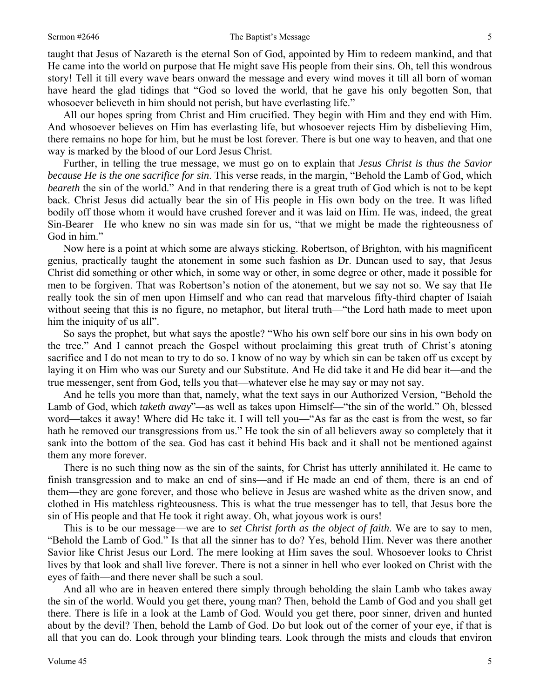#### Sermon #2646 **Sermon #2646** The Baptist's Message 5

taught that Jesus of Nazareth is the eternal Son of God, appointed by Him to redeem mankind, and that He came into the world on purpose that He might save His people from their sins. Oh, tell this wondrous story! Tell it till every wave bears onward the message and every wind moves it till all born of woman have heard the glad tidings that "God so loved the world, that he gave his only begotten Son, that whosoever believeth in him should not perish, but have everlasting life."

 All our hopes spring from Christ and Him crucified. They begin with Him and they end with Him. And whosoever believes on Him has everlasting life, but whosoever rejects Him by disbelieving Him, there remains no hope for him, but he must be lost forever. There is but one way to heaven, and that one way is marked by the blood of our Lord Jesus Christ.

 Further, in telling the true message, we must go on to explain that *Jesus Christ is thus the Savior because He is the one sacrifice for sin*. This verse reads, in the margin, "Behold the Lamb of God, which *beareth* the sin of the world." And in that rendering there is a great truth of God which is not to be kept back. Christ Jesus did actually bear the sin of His people in His own body on the tree. It was lifted bodily off those whom it would have crushed forever and it was laid on Him. He was, indeed, the great Sin-Bearer—He who knew no sin was made sin for us, "that we might be made the righteousness of God in him."

 Now here is a point at which some are always sticking. Robertson, of Brighton, with his magnificent genius, practically taught the atonement in some such fashion as Dr. Duncan used to say, that Jesus Christ did something or other which, in some way or other, in some degree or other, made it possible for men to be forgiven. That was Robertson's notion of the atonement, but we say not so. We say that He really took the sin of men upon Himself and who can read that marvelous fifty-third chapter of Isaiah without seeing that this is no figure, no metaphor, but literal truth—"the Lord hath made to meet upon him the iniquity of us all".

 So says the prophet, but what says the apostle? "Who his own self bore our sins in his own body on the tree." And I cannot preach the Gospel without proclaiming this great truth of Christ's atoning sacrifice and I do not mean to try to do so. I know of no way by which sin can be taken off us except by laying it on Him who was our Surety and our Substitute. And He did take it and He did bear it—and the true messenger, sent from God, tells you that—whatever else he may say or may not say.

 And he tells you more than that, namely, what the text says in our Authorized Version, "Behold the Lamb of God, which *taketh away*"*—*as well as takes upon Himself—"the sin of the world." Oh, blessed word—takes it away! Where did He take it. I will tell you—"As far as the east is from the west, so far hath he removed our transgressions from us." He took the sin of all believers away so completely that it sank into the bottom of the sea. God has cast it behind His back and it shall not be mentioned against them any more forever.

 There is no such thing now as the sin of the saints, for Christ has utterly annihilated it. He came to finish transgression and to make an end of sins—and if He made an end of them, there is an end of them—they are gone forever, and those who believe in Jesus are washed white as the driven snow, and clothed in His matchless righteousness. This is what the true messenger has to tell, that Jesus bore the sin of His people and that He took it right away. Oh, what joyous work is ours!

 This is to be our message—we are to *set Christ forth as the object of faith*. We are to say to men, "Behold the Lamb of God." Is that all the sinner has to do? Yes, behold Him. Never was there another Savior like Christ Jesus our Lord. The mere looking at Him saves the soul. Whosoever looks to Christ lives by that look and shall live forever. There is not a sinner in hell who ever looked on Christ with the eyes of faith—and there never shall be such a soul.

 And all who are in heaven entered there simply through beholding the slain Lamb who takes away the sin of the world. Would you get there, young man? Then, behold the Lamb of God and you shall get there. There is life in a look at the Lamb of God. Would you get there, poor sinner, driven and hunted about by the devil? Then, behold the Lamb of God. Do but look out of the corner of your eye, if that is all that you can do. Look through your blinding tears. Look through the mists and clouds that environ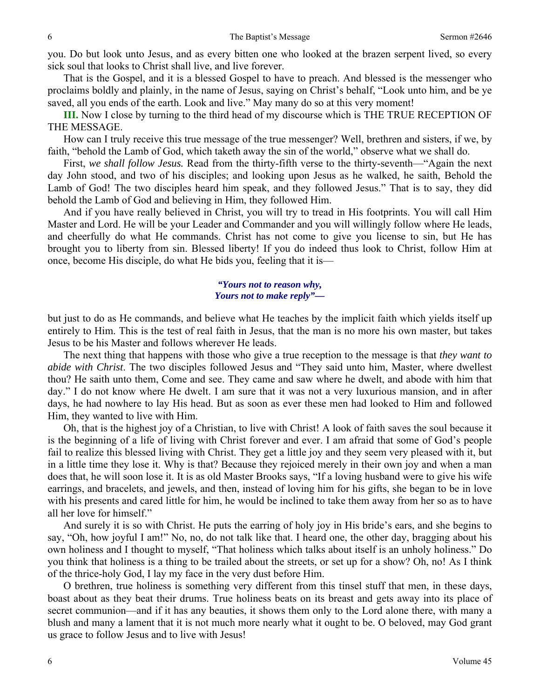you. Do but look unto Jesus, and as every bitten one who looked at the brazen serpent lived, so every sick soul that looks to Christ shall live, and live forever.

 That is the Gospel, and it is a blessed Gospel to have to preach. And blessed is the messenger who proclaims boldly and plainly, in the name of Jesus, saying on Christ's behalf, "Look unto him, and be ye saved, all you ends of the earth. Look and live." May many do so at this very moment!

**III.** Now I close by turning to the third head of my discourse which is THE TRUE RECEPTION OF THE MESSAGE.

 How can I truly receive this true message of the true messenger? Well, brethren and sisters, if we, by faith, "behold the Lamb of God, which taketh away the sin of the world," observe what we shall do.

 First, *we shall follow Jesus.* Read from the thirty-fifth verse to the thirty-seventh—"Again the next day John stood, and two of his disciples; and looking upon Jesus as he walked, he saith, Behold the Lamb of God! The two disciples heard him speak, and they followed Jesus." That is to say, they did behold the Lamb of God and believing in Him, they followed Him.

 And if you have really believed in Christ, you will try to tread in His footprints. You will call Him Master and Lord. He will be your Leader and Commander and you will willingly follow where He leads, and cheerfully do what He commands. Christ has not come to give you license to sin, but He has brought you to liberty from sin. Blessed liberty! If you do indeed thus look to Christ, follow Him at once, become His disciple, do what He bids you, feeling that it is—

#### *"Yours not to reason why, Yours not to make reply"—*

but just to do as He commands, and believe what He teaches by the implicit faith which yields itself up entirely to Him. This is the test of real faith in Jesus, that the man is no more his own master, but takes Jesus to be his Master and follows wherever He leads.

 The next thing that happens with those who give a true reception to the message is that *they want to abide with Christ*. The two disciples followed Jesus and "They said unto him, Master, where dwellest thou? He saith unto them, Come and see. They came and saw where he dwelt, and abode with him that day." I do not know where He dwelt. I am sure that it was not a very luxurious mansion, and in after days, he had nowhere to lay His head. But as soon as ever these men had looked to Him and followed Him, they wanted to live with Him.

 Oh, that is the highest joy of a Christian, to live with Christ! A look of faith saves the soul because it is the beginning of a life of living with Christ forever and ever. I am afraid that some of God's people fail to realize this blessed living with Christ. They get a little joy and they seem very pleased with it, but in a little time they lose it. Why is that? Because they rejoiced merely in their own joy and when a man does that, he will soon lose it. It is as old Master Brooks says, "If a loving husband were to give his wife earrings, and bracelets, and jewels, and then, instead of loving him for his gifts, she began to be in love with his presents and cared little for him, he would be inclined to take them away from her so as to have all her love for himself."

 And surely it is so with Christ. He puts the earring of holy joy in His bride's ears, and she begins to say, "Oh, how joyful I am!" No, no, do not talk like that. I heard one, the other day, bragging about his own holiness and I thought to myself, "That holiness which talks about itself is an unholy holiness." Do you think that holiness is a thing to be trailed about the streets, or set up for a show? Oh, no! As I think of the thrice-holy God, I lay my face in the very dust before Him.

 O brethren, true holiness is something very different from this tinsel stuff that men, in these days, boast about as they beat their drums. True holiness beats on its breast and gets away into its place of secret communion—and if it has any beauties, it shows them only to the Lord alone there, with many a blush and many a lament that it is not much more nearly what it ought to be. O beloved, may God grant us grace to follow Jesus and to live with Jesus!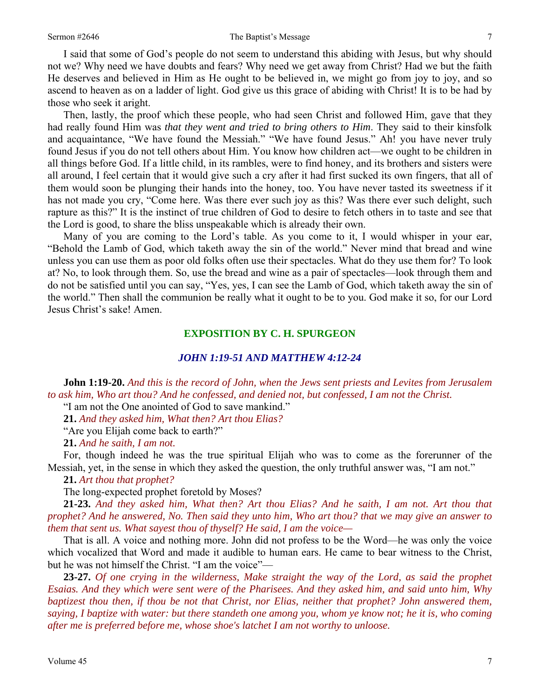I said that some of God's people do not seem to understand this abiding with Jesus, but why should not we? Why need we have doubts and fears? Why need we get away from Christ? Had we but the faith He deserves and believed in Him as He ought to be believed in, we might go from joy to joy, and so ascend to heaven as on a ladder of light. God give us this grace of abiding with Christ! It is to be had by those who seek it aright.

 Then, lastly, the proof which these people, who had seen Christ and followed Him, gave that they had really found Him was *that they went and tried to bring others to Him*. They said to their kinsfolk and acquaintance, "We have found the Messiah." "We have found Jesus." Ah! you have never truly found Jesus if you do not tell others about Him. You know how children act—we ought to be children in all things before God. If a little child, in its rambles, were to find honey, and its brothers and sisters were all around, I feel certain that it would give such a cry after it had first sucked its own fingers, that all of them would soon be plunging their hands into the honey, too. You have never tasted its sweetness if it has not made you cry, "Come here. Was there ever such joy as this? Was there ever such delight, such rapture as this?" It is the instinct of true children of God to desire to fetch others in to taste and see that the Lord is good, to share the bliss unspeakable which is already their own.

 Many of you are coming to the Lord's table. As you come to it, I would whisper in your ear, "Behold the Lamb of God, which taketh away the sin of the world." Never mind that bread and wine unless you can use them as poor old folks often use their spectacles. What do they use them for? To look at? No, to look through them. So, use the bread and wine as a pair of spectacles—look through them and do not be satisfied until you can say, "Yes, yes, I can see the Lamb of God, which taketh away the sin of the world." Then shall the communion be really what it ought to be to you. God make it so, for our Lord Jesus Christ's sake! Amen.

### **EXPOSITION BY C. H. SPURGEON**

#### *JOHN 1:19-51 AND MATTHEW 4:12-24*

**John 1:19-20.** *And this is the record of John, when the Jews sent priests and Levites from Jerusalem to ask him, Who art thou? And he confessed, and denied not, but confessed, I am not the Christ.* 

"I am not the One anointed of God to save mankind."

**21.** *And they asked him, What then? Art thou Elias?* 

"Are you Elijah come back to earth?"

**21.** *And he saith, I am not.* 

 For, though indeed he was the true spiritual Elijah who was to come as the forerunner of the Messiah, yet, in the sense in which they asked the question, the only truthful answer was, "I am not."

**21.** *Art thou that prophet?* 

The long-expected prophet foretold by Moses?

**21-23.** *And they asked him, What then? Art thou Elias? And he saith, I am not. Art thou that prophet? And he answered, No. Then said they unto him, Who art thou? that we may give an answer to them that sent us. What sayest thou of thyself? He said, I am the voice—* 

 That is all. A voice and nothing more. John did not profess to be the Word—he was only the voice which vocalized that Word and made it audible to human ears. He came to bear witness to the Christ, but he was not himself the Christ. "I am the voice"—

**23-27.** *Of one crying in the wilderness, Make straight the way of the Lord, as said the prophet Esaias. And they which were sent were of the Pharisees. And they asked him, and said unto him, Why baptizest thou then, if thou be not that Christ, nor Elias, neither that prophet? John answered them, saying, I baptize with water: but there standeth one among you, whom ye know not; he it is, who coming after me is preferred before me, whose shoe's latchet I am not worthy to unloose.*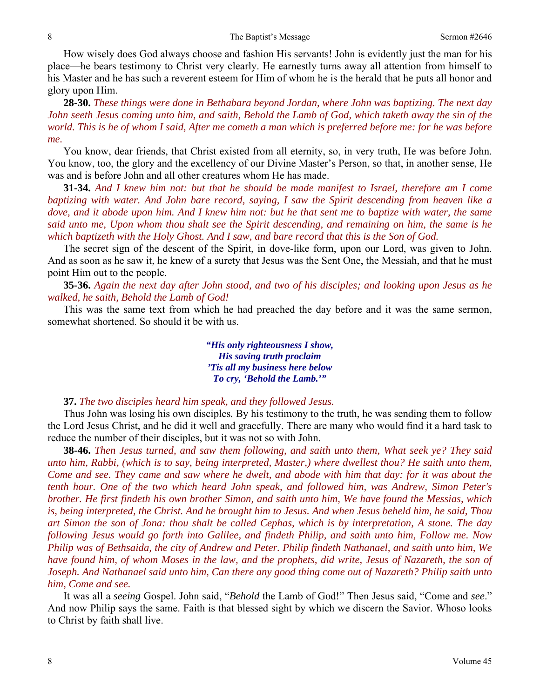How wisely does God always choose and fashion His servants! John is evidently just the man for his place—he bears testimony to Christ very clearly. He earnestly turns away all attention from himself to his Master and he has such a reverent esteem for Him of whom he is the herald that he puts all honor and glory upon Him.

**28-30.** *These things were done in Bethabara beyond Jordan, where John was baptizing. The next day John seeth Jesus coming unto him, and saith, Behold the Lamb of God, which taketh away the sin of the world. This is he of whom I said, After me cometh a man which is preferred before me: for he was before me.*

 You know, dear friends, that Christ existed from all eternity, so, in very truth, He was before John. You know, too, the glory and the excellency of our Divine Master's Person, so that, in another sense, He was and is before John and all other creatures whom He has made.

**31-34.** *And I knew him not: but that he should be made manifest to Israel, therefore am I come baptizing with water. And John bare record, saying, I saw the Spirit descending from heaven like a dove, and it abode upon him. And I knew him not: but he that sent me to baptize with water, the same said unto me, Upon whom thou shalt see the Spirit descending, and remaining on him, the same is he which baptizeth with the Holy Ghost. And I saw, and bare record that this is the Son of God.*

 The secret sign of the descent of the Spirit, in dove-like form, upon our Lord, was given to John. And as soon as he saw it, he knew of a surety that Jesus was the Sent One, the Messiah, and that he must point Him out to the people.

**35-36.** *Again the next day after John stood, and two of his disciples; and looking upon Jesus as he walked, he saith, Behold the Lamb of God!*

 This was the same text from which he had preached the day before and it was the same sermon, somewhat shortened. So should it be with us.

> *"His only righteousness I show, His saving truth proclaim 'Tis all my business here below To cry, 'Behold the Lamb.'"*

#### **37.** *The two disciples heard him speak, and they followed Jesus.*

 Thus John was losing his own disciples*.* By his testimony to the truth, he was sending them to follow the Lord Jesus Christ, and he did it well and gracefully. There are many who would find it a hard task to reduce the number of their disciples, but it was not so with John.

**38-46.** *Then Jesus turned, and saw them following, and saith unto them, What seek ye? They said unto him, Rabbi, (which is to say, being interpreted, Master,) where dwellest thou? He saith unto them, Come and see. They came and saw where he dwelt, and abode with him that day: for it was about the tenth hour. One of the two which heard John speak, and followed him, was Andrew, Simon Peter's brother. He first findeth his own brother Simon, and saith unto him, We have found the Messias, which is, being interpreted, the Christ. And he brought him to Jesus. And when Jesus beheld him, he said, Thou art Simon the son of Jona: thou shalt be called Cephas, which is by interpretation, A stone. The day following Jesus would go forth into Galilee, and findeth Philip, and saith unto him, Follow me. Now Philip was of Bethsaida, the city of Andrew and Peter. Philip findeth Nathanael, and saith unto him, We have found him, of whom Moses in the law, and the prophets, did write, Jesus of Nazareth, the son of Joseph. And Nathanael said unto him, Can there any good thing come out of Nazareth? Philip saith unto him, Come and see.* 

 It was all a *seeing* Gospel. John said, "*Behold* the Lamb of God!" Then Jesus said, "Come and *see*." And now Philip says the same. Faith is that blessed sight by which we discern the Savior. Whoso looks to Christ by faith shall live.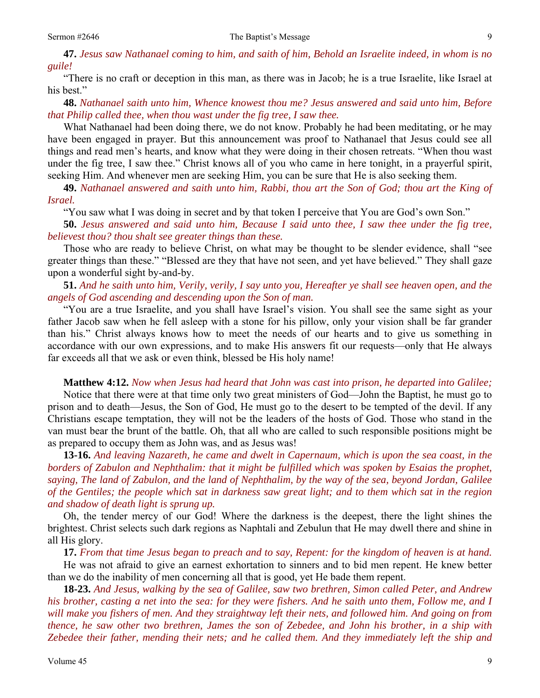**47.** *Jesus saw Nathanael coming to him, and saith of him, Behold an Israelite indeed, in whom is no guile!* 

 "There is no craft or deception in this man, as there was in Jacob; he is a true Israelite, like Israel at his best."

**48.** *Nathanael saith unto him, Whence knowest thou me? Jesus answered and said unto him, Before that Philip called thee, when thou wast under the fig tree, I saw thee.* 

 What Nathanael had been doing there, we do not know. Probably he had been meditating, or he may have been engaged in prayer. But this announcement was proof to Nathanael that Jesus could see all things and read men's hearts, and know what they were doing in their chosen retreats. "When thou wast under the fig tree, I saw thee." Christ knows all of you who came in here tonight, in a prayerful spirit, seeking Him. And whenever men are seeking Him, you can be sure that He is also seeking them.

**49.** *Nathanael answered and saith unto him, Rabbi, thou art the Son of God; thou art the King of Israel.*

"You saw what I was doing in secret and by that token I perceive that You are God's own Son."

**50.** *Jesus answered and said unto him, Because I said unto thee, I saw thee under the fig tree, believest thou? thou shalt see greater things than these.*

 Those who are ready to believe Christ, on what may be thought to be slender evidence, shall "see greater things than these." "Blessed are they that have not seen, and yet have believed." They shall gaze upon a wonderful sight by-and-by.

**51.** *And he saith unto him, Verily, verily, I say unto you, Hereafter ye shall see heaven open, and the angels of God ascending and descending upon the Son of man.*

 "You are a true Israelite, and you shall have Israel's vision. You shall see the same sight as your father Jacob saw when he fell asleep with a stone for his pillow, only your vision shall be far grander than his." Christ always knows how to meet the needs of our hearts and to give us something in accordance with our own expressions, and to make His answers fit our requests—only that He always far exceeds all that we ask or even think, blessed be His holy name!

**Matthew 4:12.** *Now when Jesus had heard that John was cast into prison, he departed into Galilee;*

Notice that there were at that time only two great ministers of God—John the Baptist, he must go to prison and to death—Jesus, the Son of God, He must go to the desert to be tempted of the devil. If any Christians escape temptation, they will not be the leaders of the hosts of God. Those who stand in the van must bear the brunt of the battle. Oh, that all who are called to such responsible positions might be as prepared to occupy them as John was, and as Jesus was!

**13-16.** *And leaving Nazareth, he came and dwelt in Capernaum, which is upon the sea coast, in the borders of Zabulon and Nephthalim: that it might be fulfilled which was spoken by Esaias the prophet, saying, The land of Zabulon, and the land of Nephthalim, by the way of the sea, beyond Jordan, Galilee of the Gentiles; the people which sat in darkness saw great light; and to them which sat in the region and shadow of death light is sprung up.* 

 Oh, the tender mercy of our God! Where the darkness is the deepest, there the light shines the brightest. Christ selects such dark regions as Naphtali and Zebulun that He may dwell there and shine in all His glory.

**17.** *From that time Jesus began to preach and to say, Repent: for the kingdom of heaven is at hand.*

He was not afraid to give an earnest exhortation to sinners and to bid men repent. He knew better than we do the inability of men concerning all that is good, yet He bade them repent.

**18-23.** *And Jesus, walking by the sea of Galilee, saw two brethren, Simon called Peter, and Andrew his brother, casting a net into the sea: for they were fishers. And he saith unto them, Follow me, and I will make you fishers of men. And they straightway left their nets, and followed him. And going on from thence, he saw other two brethren, James the son of Zebedee, and John his brother, in a ship with Zebedee their father, mending their nets; and he called them. And they immediately left the ship and*